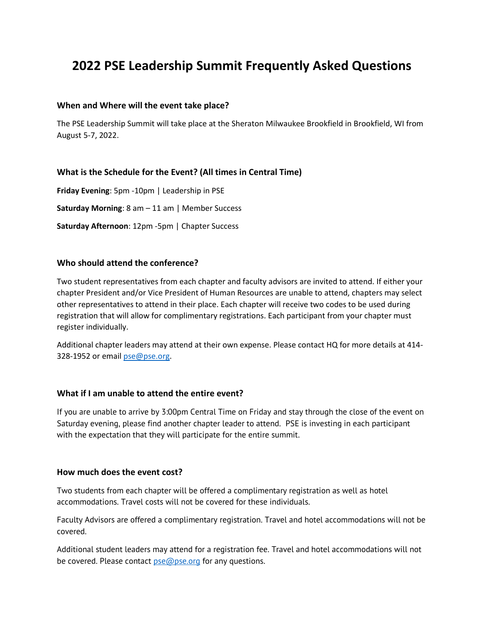# **2022 PSE Leadership Summit Frequently Asked Questions**

## **When and Where will the event take place?**

The PSE Leadership Summit will take place at the Sheraton Milwaukee Brookfield in Brookfield, WI from August 5-7, 2022.

# **What is the Schedule for the Event? (All times in Central Time)**

**Friday Evening**: 5pm -10pm | Leadership in PSE **Saturday Morning**: 8 am – 11 am | Member Success **Saturday Afternoon**: 12pm -5pm | Chapter Success

## **Who should attend the conference?**

Two student representatives from each chapter and faculty advisors are invited to attend. If either your chapter President and/or Vice President of Human Resources are unable to attend, chapters may select other representatives to attend in their place. Each chapter will receive two codes to be used during registration that will allow for complimentary registrations. Each participant from your chapter must register individually.

Additional chapter leaders may attend at their own expense. Please contact HQ for more details at 414- 328-1952 or email [pse@pse.org.](mailto:pse@pse.org)

## **What if I am unable to attend the entire event?**

If you are unable to arrive by 3:00pm Central Time on Friday and stay through the close of the event on Saturday evening, please find another chapter leader to attend. PSE is investing in each participant with the expectation that they will participate for the entire summit.

#### **How much does the event cost?**

Two students from each chapter will be offered a complimentary registration as well as hotel accommodations. Travel costs will not be covered for these individuals.

Faculty Advisors are offered a complimentary registration. Travel and hotel accommodations will not be covered.

Additional student leaders may attend for a registration fee. Travel and hotel accommodations will not be covered. Please contact **pse**@pse.org for any questions.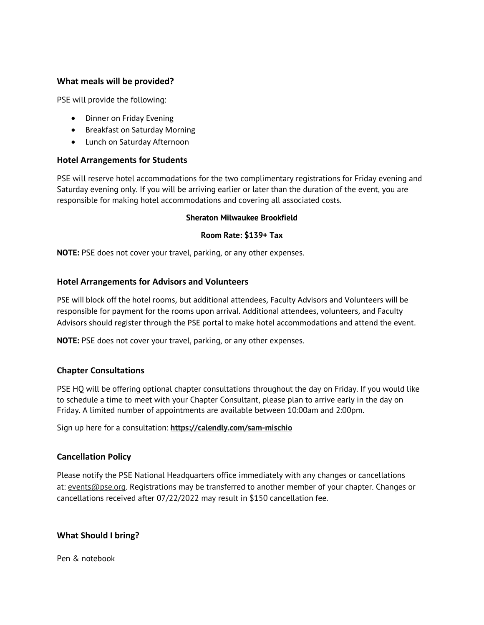# **What meals will be provided?**

PSE will provide the following:

- Dinner on Friday Evening
- Breakfast on Saturday Morning
- Lunch on Saturday Afternoon

# **Hotel Arrangements for Students**

PSE will reserve hotel accommodations for the two complimentary registrations for Friday evening and Saturday evening only. If you will be arriving earlier or later than the duration of the event, you are responsible for making hotel accommodations and covering all associated costs.

#### **Sheraton Milwaukee Brookfield**

## **Room Rate: \$139+ Tax**

**NOTE:** PSE does not cover your travel, parking, or any other expenses.

# **Hotel Arrangements for Advisors and Volunteers**

PSE will block off the hotel rooms, but additional attendees, Faculty Advisors and Volunteers will be responsible for payment for the rooms upon arrival. Additional attendees, volunteers, and Faculty Advisors should register through the PSE portal to make hotel accommodations and attend the event.

**NOTE:** PSE does not cover your travel, parking, or any other expenses.

# **Chapter Consultations**

PSE HQ will be offering optional chapter consultations throughout the day on Friday. If you would like to schedule a time to meet with your Chapter Consultant, please plan to arrive early in the day on Friday. A limited number of appointments are available between 10:00am and 2:00pm.

Sign up here for a consultation: **<https://calendly.com/sam-mischio>**

## **Cancellation Policy**

Please notify the PSE National Headquarters office immediately with any changes or cancellations at: [events@pse.org.](mailto:events@pse.org) Registrations may be transferred to another member of your chapter. Changes or cancellations received after 07/22/2022 may result in \$150 cancellation fee.

# **What Should I bring?**

Pen & notebook